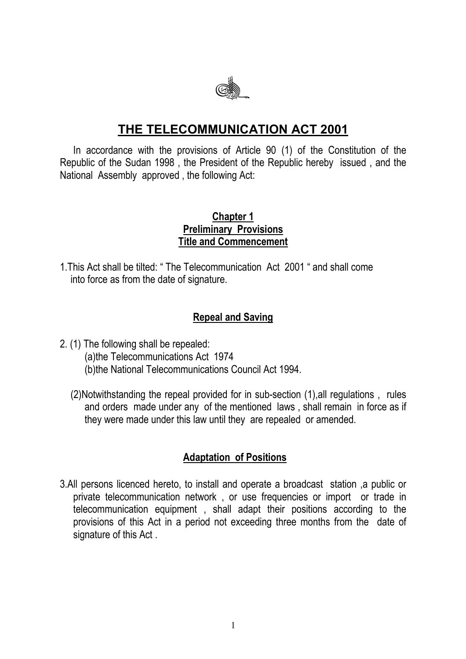

# **THE TELECOMMUNICATION ACT 2001**

In accordance with the provisions of Article 90 (1) of the Constitution of the Republic of the Sudan 1998 , the President of the Republic hereby issued , and the National Assembly approved , the following Act:

#### **Chapter 1 Preliminary Provisions Title and Commencement**

1.This Act shall be tilted: " The Telecommunication Act 2001 " and shall come into force as from the date of signature.

#### **Repeal and Saving**

- 2. (1) The following shall be repealed: (a)the Telecommunications Act 1974 (b)the National Telecommunications Council Act 1994.
	- (2)Notwithstanding the repeal provided for in sub-section (1),all regulations , rules and orders made under any of the mentioned laws , shall remain in force as if they were made under this law until they are repealed or amended.

#### **Adaptation of Positions**

3.All persons licenced hereto, to install and operate a broadcast station ,a public or private telecommunication network , or use frequencies or import or trade in telecommunication equipment , shall adapt their positions according to the provisions of this Act in a period not exceeding three months from the date of signature of this Act .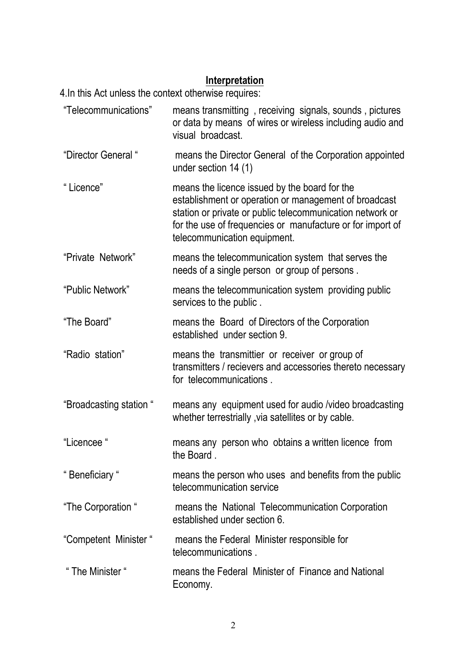#### **Interpretation**

4.In this Act unless the context otherwise requires:

- "Telecommunications" means transmitting , receiving signals, sounds , pictures or data by means of wires or wireless including audio and visual broadcast.
- "Director General " means the Director General of the Corporation appointed under section 14 (1)
- " Licence" means the licence issued by the board for the establishment or operation or management of broadcast station or private or public telecommunication network or for the use of frequencies or manufacture or for import of telecommunication equipment.
- "Private Network" means the telecommunication system that serves the needs of a single person or group of persons .
- "Public Network" means the telecommunication system providing public services to the public .
- "The Board" means the Board of Directors of the Corporation established under section 9.
- "Radio station" means the transmittier or receiver or group of transmitters / recievers and accessories thereto necessary for telecommunications .
- "Broadcasting station " means any equipment used for audio /video broadcasting whether terrestrially , via satellites or by cable.
- "Licencee " means any person who obtains a written licence from the Board .
- " Beneficiary " means the person who uses and benefits from the public telecommunication service
- "The Corporation " means the National Telecommunication Corporation established under section 6.
- "Competent Minister " means the Federal Minister responsible for telecommunications .
- " The Minister " means the Federal Minister of Finance and National Economy.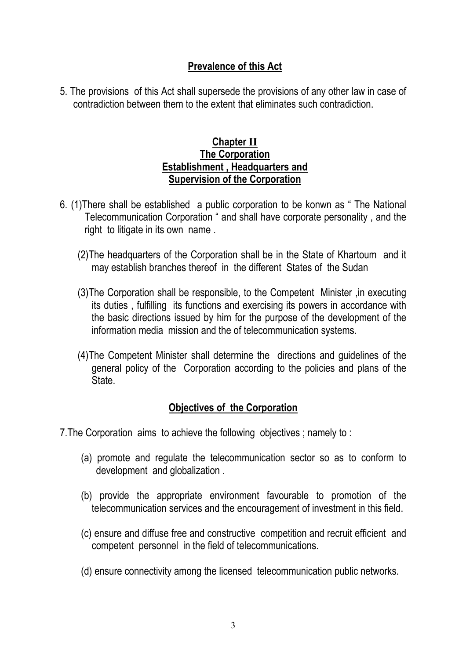### **Prevalence of this Act**

5. The provisions of this Act shall supersede the provisions of any other law in case of contradiction between them to the extent that eliminates such contradiction.

#### **Chapter II The Corporation Establishment , Headquarters and Supervision of the Corporation**

- 6. (1)There shall be established a public corporation to be konwn as " The National Telecommunication Corporation " and shall have corporate personality , and the right to litigate in its own name .
	- (2)The headquarters of the Corporation shall be in the State of Khartoum and it may establish branches thereof in the different States of the Sudan
	- (3)The Corporation shall be responsible, to the Competent Minister ,in executing its duties , fulfilling its functions and exercising its powers in accordance with the basic directions issued by him for the purpose of the development of the information media mission and the of telecommunication systems.
	- (4)The Competent Minister shall determine the directions and guidelines of the general policy of the Corporation according to the policies and plans of the State.

# **Objectives of the Corporation**

7.The Corporation aims to achieve the following objectives ; namely to :

- (a) promote and regulate the telecommunication sector so as to conform to development and globalization .
- (b) provide the appropriate environment favourable to promotion of the telecommunication services and the encouragement of investment in this field.
- (c) ensure and diffuse free and constructive competition and recruit efficient and competent personnel in the field of telecommunications.
- (d) ensure connectivity among the licensed telecommunication public networks.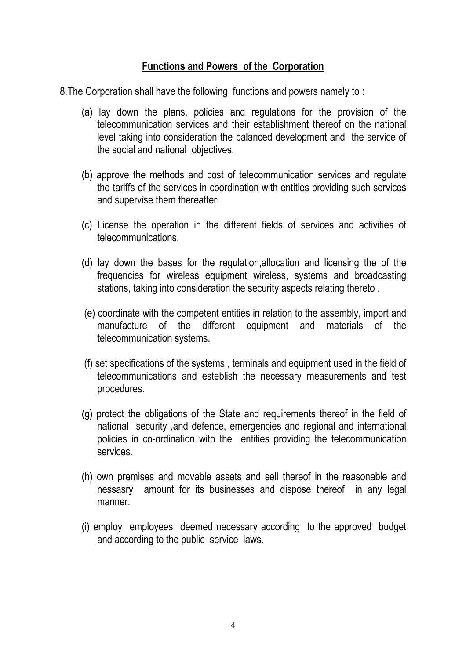#### **Functions and Powers of the Corporation**

8.The Corporation shall have the following functions and powers namely to :

- (a) lay down the plans, policies and regulations for the provision of the telecommunication services and their establishment thereof on the national level taking into consideration the balanced development and the service of the social and national objectives.
- (b) approve the methods and cost of telecommunication services and regulate the tariffs of the services in coordination with entities providing such services and supervise them thereafter.
- (c) License the operation in the different fields of services and activities of telecommunications.
- (d) lay down the bases for the regulation,allocation and licensing the of the frequencies for wireless equipment wireless, systems and broadcasting stations, taking into consideration the security aspects relating thereto .
- (e) coordinate with the competent entities in relation to the assembly, import and manufacture of the different equipment and materials of the telecommunication systems.
- (f) set specifications of the systems , terminals and equipment used in the field of telecommunications and esteblish the necessary measurements and test procedures.
- (g) protect the obligations of the State and requirements thereof in the field of national security ,and defence, emergencies and regional and international policies in co-ordination with the entities providing the telecommunication services.
- (h) own premises and movable assets and sell thereof in the reasonable and nessasry amount for its businesses and dispose thereof in any legal manner.
- (i) employ employees deemed necessary according to the approved budget and according to the public service laws.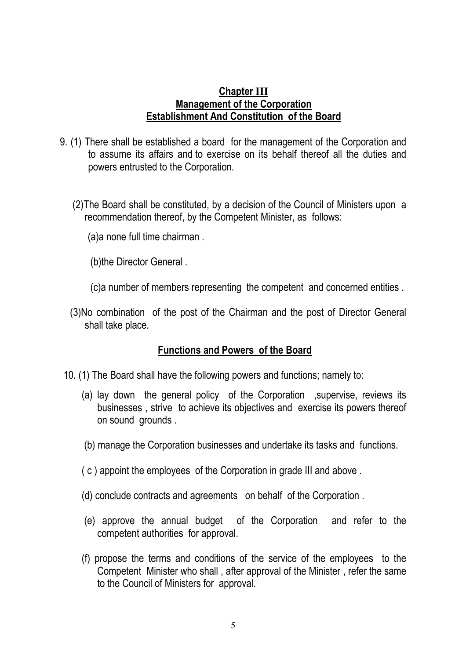#### **Chapter Management of the Corporation Establishment And Constitution of the Board**

- 9. (1) There shall be established a board for the management of the Corporation and to assume its affairs and to exercise on its behalf thereof all the duties and powers entrusted to the Corporation.
	- (2)The Board shall be constituted, by a decision of the Council of Ministers upon a recommendation thereof, by the Competent Minister, as follows:
		- (a)a none full time chairman .
		- (b)the Director General .
		- (c)a number of members representing the competent and concerned entities .
	- (3)No combination of the post of the Chairman and the post of Director General shall take place.

#### **Functions and Powers of the Board**

- 10. (1) The Board shall have the following powers and functions; namely to:
	- (a) lay down the general policy of the Corporation ,supervise, reviews its businesses , strive to achieve its objectives and exercise its powers thereof on sound grounds .
	- (b) manage the Corporation businesses and undertake its tasks and functions.
	- $(c)$  appoint the employees of the Corporation in grade III and above .
	- (d) conclude contracts and agreements on behalf of the Corporation .
	- (e) approve the annual budget of the Corporation and refer to the competent authorities for approval.
	- (f) propose the terms and conditions of the service of the employees to the Competent Minister who shall , after approval of the Minister , refer the same to the Council of Ministers for approval.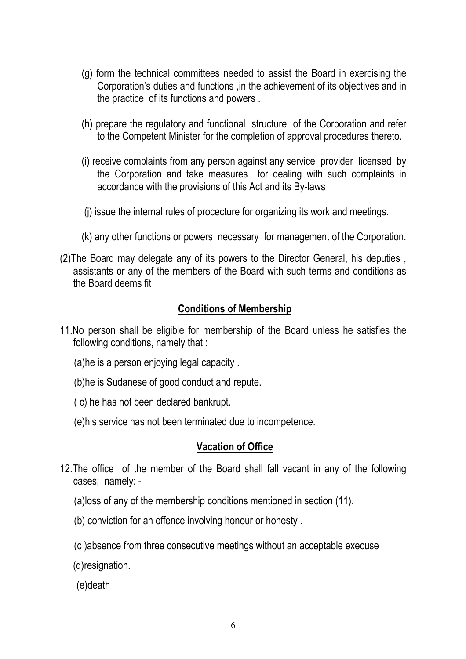- (g) form the technical committees needed to assist the Board in exercising the Corporation's duties and functions ,in the achievement of its objectives and in the practice of its functions and powers .
- (h) prepare the regulatory and functional structure of the Corporation and refer to the Competent Minister for the completion of approval procedures thereto.
- (i) receive complaints from any person against any service provider licensed by the Corporation and take measures for dealing with such complaints in accordance with the provisions of this Act and its By-laws
- (j) issue the internal rules of procecture for organizing its work and meetings.
- (k) any other functions or powers necessary for management of the Corporation.
- (2)The Board may delegate any of its powers to the Director General, his deputies , assistants or any of the members of the Board with such terms and conditions as the Board deems fit

## **Conditions of Membership**

- 11.No person shall be eligible for membership of the Board unless he satisfies the following conditions, namely that :
	- (a)he is a person enjoying legal capacity .
	- (b)he is Sudanese of good conduct and repute.
	- ( c) he has not been declared bankrupt.
	- (e)his service has not been terminated due to incompetence.

#### **Vacation of Office**

- 12.The office of the member of the Board shall fall vacant in any of the following cases; namely: -
	- (a)loss of any of the membership conditions mentioned in section (11).
	- (b) conviction for an offence involving honour or honesty .
	- (c )absence from three consecutive meetings without an acceptable execuse
	- (d)resignation.
	- (e)death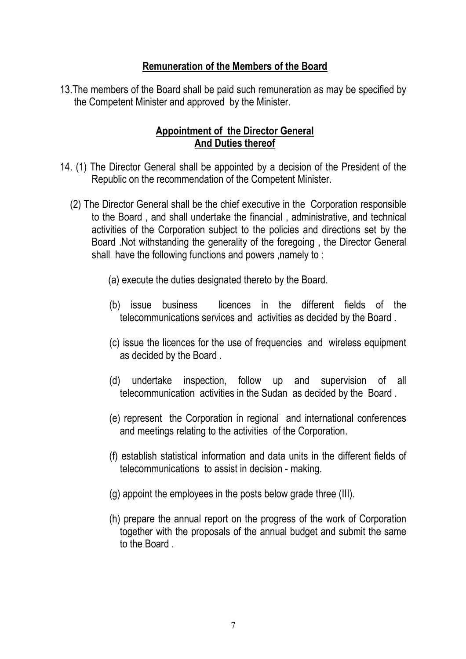#### **Remuneration of the Members of the Board**

13.The members of the Board shall be paid such remuneration as may be specified by the Competent Minister and approved by the Minister.

### **Appointment of the Director General And Duties thereof**

- 14. (1) The Director General shall be appointed by a decision of the President of the Republic on the recommendation of the Competent Minister.
	- (2) The Director General shall be the chief executive in the Corporation responsible to the Board , and shall undertake the financial , administrative, and technical activities of the Corporation subject to the policies and directions set by the Board .Not withstanding the generality of the foregoing , the Director General shall have the following functions and powers ,namely to :
		- (a) execute the duties designated thereto by the Board.
		- (b) issue business licences in the different fields of the telecommunications services and activities as decided by the Board .
		- (c) issue the licences for the use of frequencies and wireless equipment as decided by the Board .
		- (d) undertake inspection, follow up and supervision of all telecommunication activities in the Sudan as decided by the Board .
		- (e) represent the Corporation in regional and international conferences and meetings relating to the activities of the Corporation.
		- (f) establish statistical information and data units in the different fields of telecommunications to assist in decision - making.
		- $(q)$  appoint the employees in the posts below grade three (III).
		- (h) prepare the annual report on the progress of the work of Corporation together with the proposals of the annual budget and submit the same to the Board .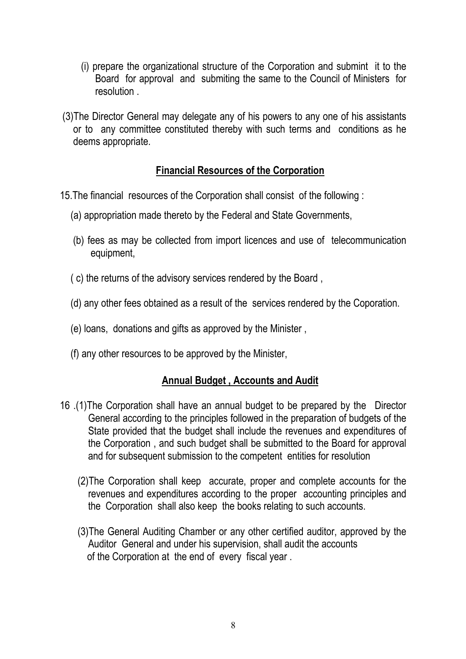- (i) prepare the organizational structure of the Corporation and submint it to the Board for approval and submiting the same to the Council of Ministers for resolution .
- (3)The Director General may delegate any of his powers to any one of his assistants or to any committee constituted thereby with such terms and conditions as he deems appropriate.

## **Financial Resources of the Corporation**

- 15.The financial resources of the Corporation shall consist of the following :
	- (a) appropriation made thereto by the Federal and State Governments,
	- (b) fees as may be collected from import licences and use of telecommunication equipment,
	- ( c) the returns of the advisory services rendered by the Board ,
	- (d) any other fees obtained as a result of the services rendered by the Coporation.
	- (e) loans, donations and gifts as approved by the Minister ,
	- (f) any other resources to be approved by the Minister,

#### **Annual Budget , Accounts and Audit**

- 16 .(1)The Corporation shall have an annual budget to be prepared by the Director General according to the principles followed in the preparation of budgets of the State provided that the budget shall include the revenues and expenditures of the Corporation , and such budget shall be submitted to the Board for approval and for subsequent submission to the competent entities for resolution
	- (2)The Corporation shall keep accurate, proper and complete accounts for the revenues and expenditures according to the proper accounting principles and the Corporation shall also keep the books relating to such accounts.
	- (3)The General Auditing Chamber or any other certified auditor, approved by the Auditor General and under his supervision, shall audit the accounts of the Corporation at the end of every fiscal year .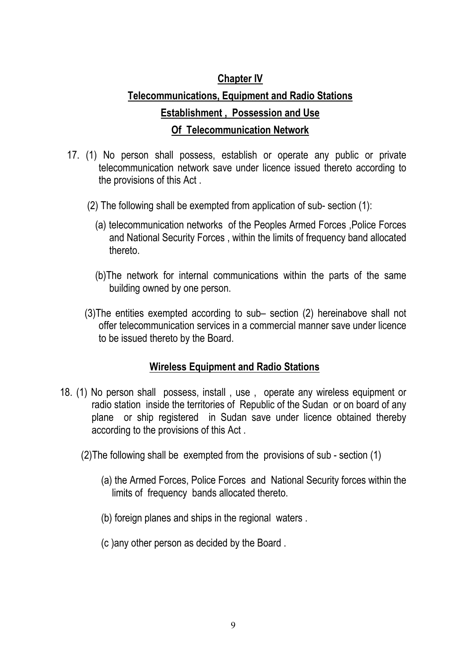## **Chapter IV**

# **Telecommunications, Equipment and Radio Stations Establishment , Possession and Use Of Telecommunication Network**

- 17. (1) No person shall possess, establish or operate any public or private telecommunication network save under licence issued thereto according to the provisions of this Act .
	- (2) The following shall be exempted from application of sub- section (1):
		- (a) telecommunication networks of the Peoples Armed Forces ,Police Forces and National Security Forces , within the limits of frequency band allocated thereto.
		- (b)The network for internal communications within the parts of the same building owned by one person.
	- (3)The entities exempted according to sub– section (2) hereinabove shall not offer telecommunication services in a commercial manner save under licence to be issued thereto by the Board.

#### **Wireless Equipment and Radio Stations**

- 18. (1) No person shall possess, install , use , operate any wireless equipment or radio station inside the territories of Republic of the Sudan or on board of any plane or ship registered in Sudan save under licence obtained thereby according to the provisions of this Act .
	- (2)The following shall be exempted from the provisions of sub section (1)
		- (a) the Armed Forces, Police Forces and National Security forces within the limits of frequency bands allocated thereto.
		- (b) foreign planes and ships in the regional waters .
		- (c )any other person as decided by the Board .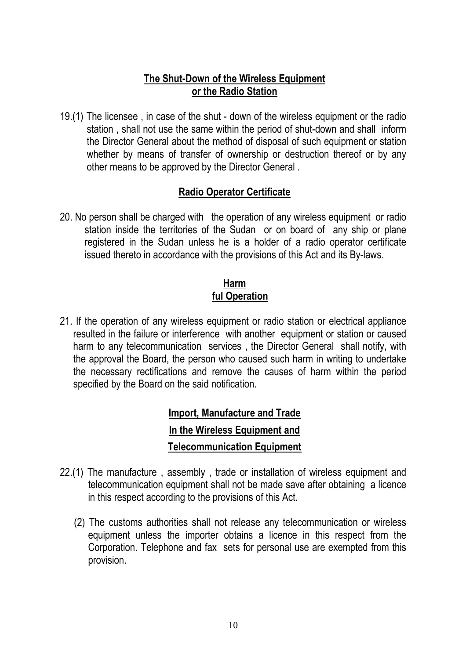#### **The Shut-Down of the Wireless Equipment or the Radio Station**

19.(1) The licensee , in case of the shut - down of the wireless equipment or the radio station , shall not use the same within the period of shut-down and shall inform the Director General about the method of disposal of such equipment or station whether by means of transfer of ownership or destruction thereof or by any other means to be approved by the Director General .

#### **Radio Operator Certificate**

20. No person shall be charged with the operation of any wireless equipment or radio station inside the territories of the Sudan or on board of any ship or plane registered in the Sudan unless he is a holder of a radio operator certificate issued thereto in accordance with the provisions of this Act and its By-laws.

#### **Harm ful Operation**

21. If the operation of any wireless equipment or radio station or electrical appliance resulted in the failure or interference with another equipment or station or caused harm to any telecommunication services , the Director General shall notify, with the approval the Board, the person who caused such harm in writing to undertake the necessary rectifications and remove the causes of harm within the period specified by the Board on the said notification.

# **Import, Manufacture and Trade In the Wireless Equipment and Telecommunication Equipment**

- 22.(1) The manufacture , assembly , trade or installation of wireless equipment and telecommunication equipment shall not be made save after obtaining a licence in this respect according to the provisions of this Act.
	- (2) The customs authorities shall not release any telecommunication or wireless equipment unless the importer obtains a licence in this respect from the Corporation. Telephone and fax sets for personal use are exempted from this provision.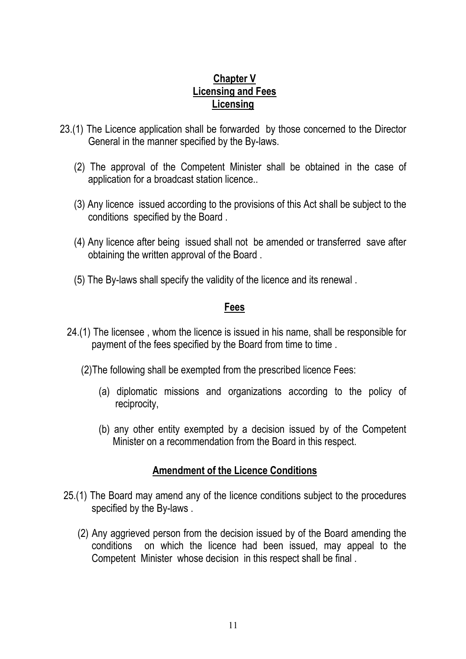#### **Chapter V Licensing and Fees Licensing**

- 23.(1) The Licence application shall be forwarded by those concerned to the Director General in the manner specified by the By-laws.
	- (2) The approval of the Competent Minister shall be obtained in the case of application for a broadcast station licence..
	- (3) Any licence issued according to the provisions of this Act shall be subject to the conditions specified by the Board .
	- (4) Any licence after being issued shall not be amended or transferred save after obtaining the written approval of the Board .
	- (5) The By-laws shall specify the validity of the licence and its renewal .

#### **Fees**

- 24.(1) The licensee , whom the licence is issued in his name, shall be responsible for payment of the fees specified by the Board from time to time.
	- (2)The following shall be exempted from the prescribed licence Fees:
		- (a) diplomatic missions and organizations according to the policy of reciprocity,
		- (b) any other entity exempted by a decision issued by of the Competent Minister on a recommendation from the Board in this respect.

#### **Amendment of the Licence Conditions**

- 25.(1) The Board may amend any of the licence conditions subject to the procedures specified by the By-laws .
	- (2) Any aggrieved person from the decision issued by of the Board amending the conditions on which the licence had been issued, may appeal to the Competent Minister whose decision in this respect shall be final .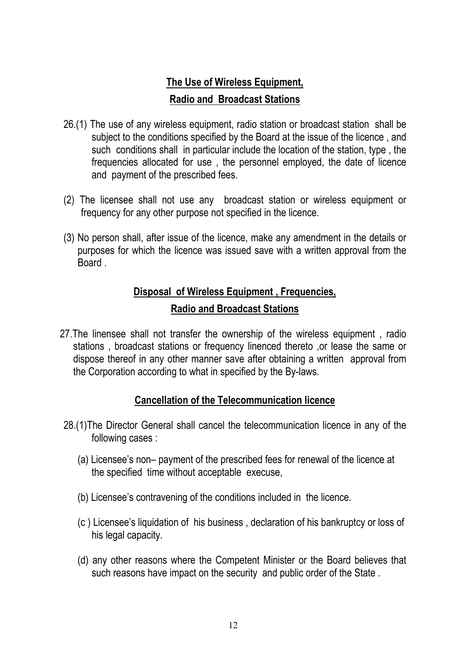# **The Use of Wireless Equipment, Radio and Broadcast Stations**

- 26.(1) The use of any wireless equipment, radio station or broadcast station shall be subject to the conditions specified by the Board at the issue of the licence , and such conditions shall in particular include the location of the station, type , the frequencies allocated for use , the personnel employed, the date of licence and payment of the prescribed fees.
- (2) The licensee shall not use any broadcast station or wireless equipment or frequency for any other purpose not specified in the licence.
- (3) No person shall, after issue of the licence, make any amendment in the details or purposes for which the licence was issued save with a written approval from the **Board**

# **Disposal of Wireless Equipment , Frequencies, Radio and Broadcast Stations**

27.The linensee shall not transfer the ownership of the wireless equipment , radio stations , broadcast stations or frequency linenced thereto ,or lease the same or dispose thereof in any other manner save after obtaining a written approval from the Corporation according to what in specified by the By-laws.

#### **Cancellation of the Telecommunication licence**

- 28.(1)The Director General shall cancel the telecommunication licence in any of the following cases :
	- (a) Licensee's non– payment of the prescribed fees for renewal of the licence at the specified time without acceptable execuse,
	- (b) Licensee's contravening of the conditions included in the licence.
	- (c ) Licensee's liquidation of his business , declaration of his bankruptcy or loss of his legal capacity.
	- (d) any other reasons where the Competent Minister or the Board believes that such reasons have impact on the security and public order of the State .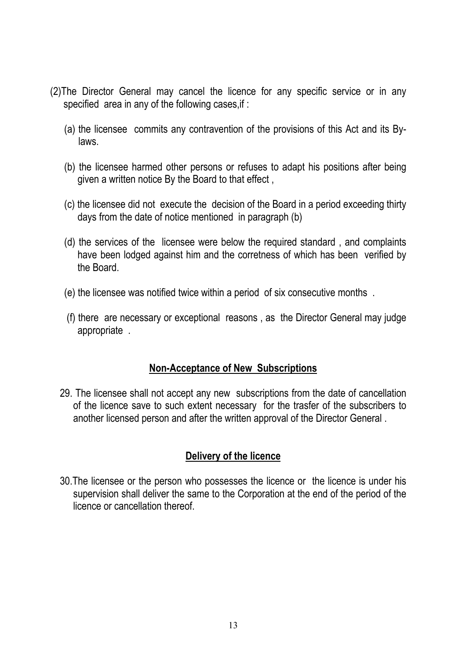- (2)The Director General may cancel the licence for any specific service or in any specified area in any of the following cases, if:
	- (a) the licensee commits any contravention of the provisions of this Act and its Bylaws.
	- (b) the licensee harmed other persons or refuses to adapt his positions after being given a written notice By the Board to that effect ,
	- (c) the licensee did not execute the decision of the Board in a period exceeding thirty days from the date of notice mentioned in paragraph (b)
	- (d) the services of the licensee were below the required standard , and complaints have been lodged against him and the corretness of which has been verified by the Board.
	- (e) the licensee was notified twice within a period of six consecutive months .
	- (f) there are necessary or exceptional reasons , as the Director General may judge appropriate .

#### **Non-Acceptance of New Subscriptions**

29. The licensee shall not accept any new subscriptions from the date of cancellation of the licence save to such extent necessary for the trasfer of the subscribers to another licensed person and after the written approval of the Director General .

#### **Delivery of the licence**

30.The licensee or the person who possesses the licence or the licence is under his supervision shall deliver the same to the Corporation at the end of the period of the licence or cancellation thereof.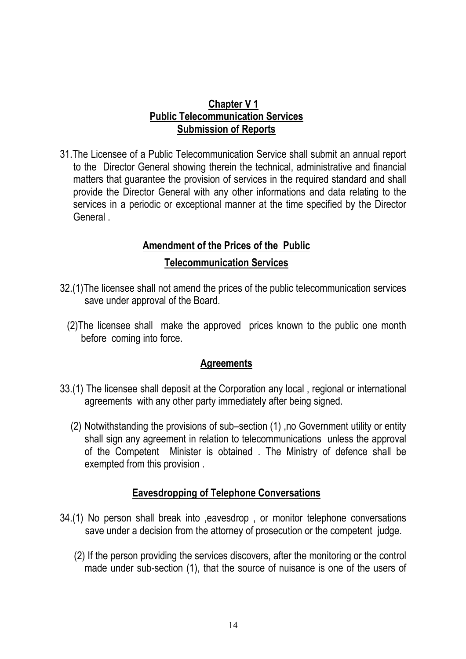#### **Chapter V 1 Public Telecommunication Services Submission of Reports**

31.The Licensee of a Public Telecommunication Service shall submit an annual report to the Director General showing therein the technical, administrative and financial matters that guarantee the provision of services in the required standard and shall provide the Director General with any other informations and data relating to the services in a periodic or exceptional manner at the time specified by the Director General .

# **Amendment of the Prices of the Public Telecommunication Services**

- 32.(1)The licensee shall not amend the prices of the public telecommunication services save under approval of the Board.
	- (2)The licensee shall make the approved prices known to the public one month before coming into force.

#### **Agreements**

- 33.(1) The licensee shall deposit at the Corporation any local , regional or international agreements with any other party immediately after being signed.
	- (2) Notwithstanding the provisions of sub–section (1) ,no Government utility or entity shall sign any agreement in relation to telecommunications unless the approval of the Competent Minister is obtained . The Ministry of defence shall be exempted from this provision .

#### **Eavesdropping of Telephone Conversations**

- 34.(1) No person shall break into ,eavesdrop , or monitor telephone conversations save under a decision from the attorney of prosecution or the competent judge.
	- (2) If the person providing the services discovers, after the monitoring or the control made under sub-section (1), that the source of nuisance is one of the users of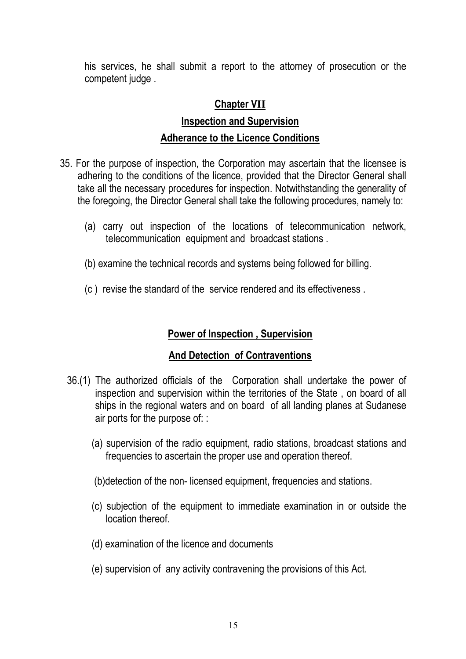his services, he shall submit a report to the attorney of prosecution or the competent judge .

# **Chapter V**

# **Inspection and Supervision Adherance to the Licence Conditions**

- 35. For the purpose of inspection, the Corporation may ascertain that the licensee is adhering to the conditions of the licence, provided that the Director General shall take all the necessary procedures for inspection. Notwithstanding the generality of the foregoing, the Director General shall take the following procedures, namely to:
	- (a) carry out inspection of the locations of telecommunication network, telecommunication equipment and broadcast stations .
	- (b) examine the technical records and systems being followed for billing.
	- (c ) revise the standard of the service rendered and its effectiveness .

## **Power of Inspection , Supervision**

#### **And Detection of Contraventions**

- 36.(1) The authorized officials of the Corporation shall undertake the power of inspection and supervision within the territories of the State , on board of all ships in the regional waters and on board of all landing planes at Sudanese air ports for the purpose of: :
	- (a) supervision of the radio equipment, radio stations, broadcast stations and frequencies to ascertain the proper use and operation thereof.
	- (b)detection of the non- licensed equipment, frequencies and stations.
	- (c) subjection of the equipment to immediate examination in or outside the location thereof.
	- (d) examination of the licence and documents
	- (e) supervision of any activity contravening the provisions of this Act.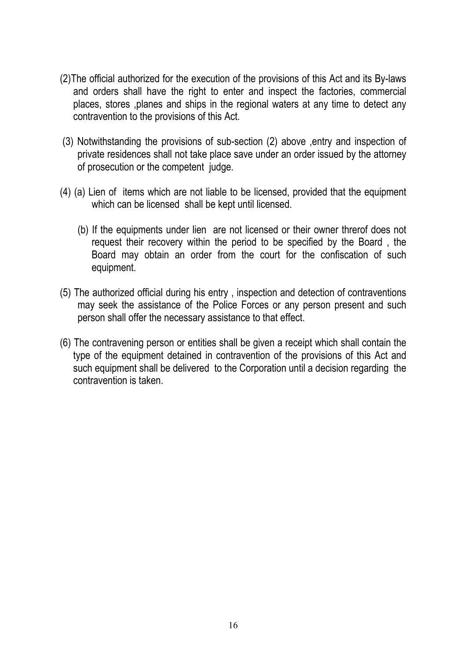- (2)The official authorized for the execution of the provisions of this Act and its By-laws and orders shall have the right to enter and inspect the factories, commercial places, stores ,planes and ships in the regional waters at any time to detect any contravention to the provisions of this Act.
- (3) Notwithstanding the provisions of sub-section (2) above ,entry and inspection of private residences shall not take place save under an order issued by the attorney of prosecution or the competent judge.
- (4) (a) Lien of items which are not liable to be licensed, provided that the equipment which can be licensed shall be kept until licensed.
	- (b) If the equipments under lien are not licensed or their owner threrof does not request their recovery within the period to be specified by the Board , the Board may obtain an order from the court for the confiscation of such equipment.
- (5) The authorized official during his entry , inspection and detection of contraventions may seek the assistance of the Police Forces or any person present and such person shall offer the necessary assistance to that effect.
- (6) The contravening person or entities shall be given a receipt which shall contain the type of the equipment detained in contravention of the provisions of this Act and such equipment shall be delivered to the Corporation until a decision regarding the contravention is taken.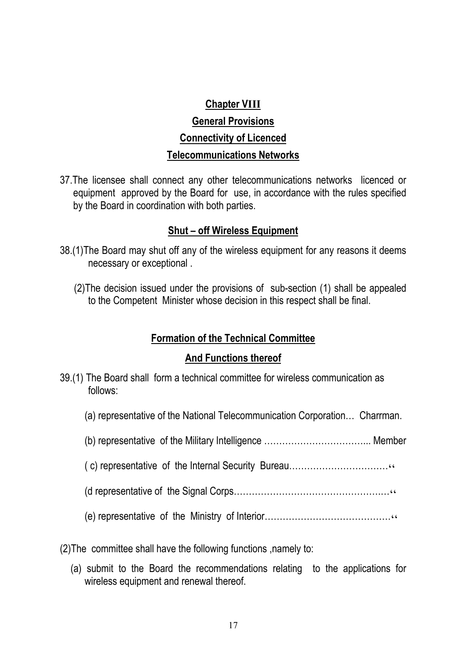# **Chapter V General Provisions Connectivity of Licenced Telecommunications Networks**

37.The licensee shall connect any other telecommunications networks licenced or equipment approved by the Board for use, in accordance with the rules specified by the Board in coordination with both parties.

#### **Shut – off Wireless Equipment**

- 38.(1)The Board may shut off any of the wireless equipment for any reasons it deems necessary or exceptional .
	- (2)The decision issued under the provisions of sub-section (1) shall be appealed to the Competent Minister whose decision in this respect shall be final.

#### **Formation of the Technical Committee**

#### **And Functions thereof**

- 39.(1) The Board shall form a technical committee for wireless communication as follows:
	- (a) representative of the National Telecommunication Corporation… Charrman.
	- (b) representative of the Military Intelligence ……………………………... Member
	- ( c) representative of the Internal Security Bureau……………………………
	- (d representative of the Signal Corps………………………………………….…
	- (e) representative of the Ministry of Interior……………………………………
- (2)The committee shall have the following functions ,namely to:
	- (a) submit to the Board the recommendations relating to the applications for wireless equipment and renewal thereof.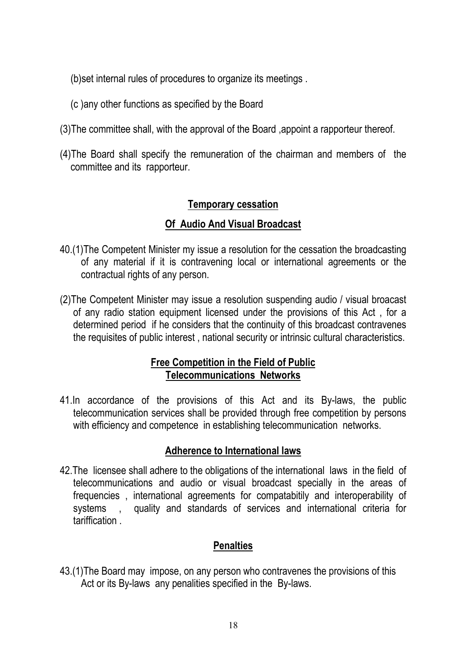(b)set internal rules of procedures to organize its meetings .

- (c )any other functions as specified by the Board
- (3)The committee shall, with the approval of the Board ,appoint a rapporteur thereof.
- (4)The Board shall specify the remuneration of the chairman and members of the committee and its rapporteur.

#### **Temporary cessation**

## **Of Audio And Visual Broadcast**

- 40.(1)The Competent Minister my issue a resolution for the cessation the broadcasting of any material if it is contravening local or international agreements or the contractual rights of any person.
- (2)The Competent Minister may issue a resolution suspending audio / visual broacast of any radio station equipment licensed under the provisions of this Act , for a determined period if he considers that the continuity of this broadcast contravenes the requisites of public interest , national security or intrinsic cultural characteristics.

#### **Free Competition in the Field of Public Telecommunications Networks**

41.In accordance of the provisions of this Act and its By-laws, the public telecommunication services shall be provided through free competition by persons with efficiency and competence in establishing telecommunication networks.

#### **Adherence to International laws**

42.The licensee shall adhere to the obligations of the international laws in the field of telecommunications and audio or visual broadcast specially in the areas of frequencies , international agreements for compatabitily and interoperability of systems , quality and standards of services and international criteria for tariffication .

#### **Penalties**

43.(1)The Board may impose, on any person who contravenes the provisions of this Act or its By-laws any penalities specified in the By-laws.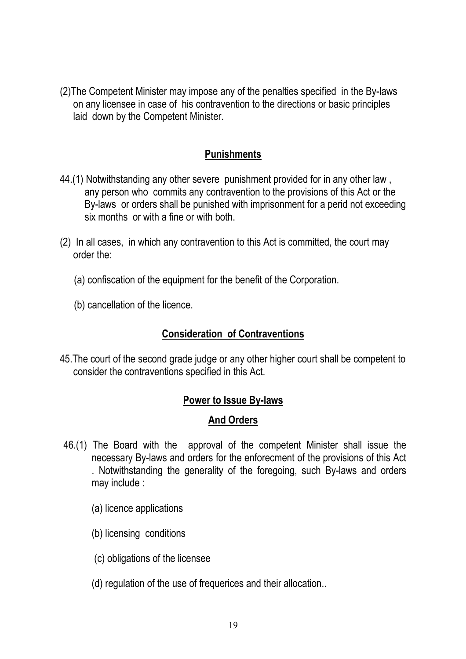(2)The Competent Minister may impose any of the penalties specified in the By-laws on any licensee in case of his contravention to the directions or basic principles laid down by the Competent Minister.

## **Punishments**

- 44.(1) Notwithstanding any other severe punishment provided for in any other law , any person who commits any contravention to the provisions of this Act or the By-laws or orders shall be punished with imprisonment for a perid not exceeding six months or with a fine or with both.
- (2) In all cases, in which any contravention to this Act is committed, the court may order the:
	- (a) confiscation of the equipment for the benefit of the Corporation.
	- (b) cancellation of the licence.

### **Consideration of Contraventions**

45.The court of the second grade judge or any other higher court shall be competent to consider the contraventions specified in this Act.

#### **Power to Issue By-laws**

#### **And Orders**

- 46.(1) The Board with the approval of the competent Minister shall issue the necessary By-laws and orders for the enforecment of the provisions of this Act . Notwithstanding the generality of the foregoing, such By-laws and orders may include :
	- (a) licence applications
	- (b) licensing conditions
	- (c) obligations of the licensee
	- (d) regulation of the use of frequerices and their allocation..